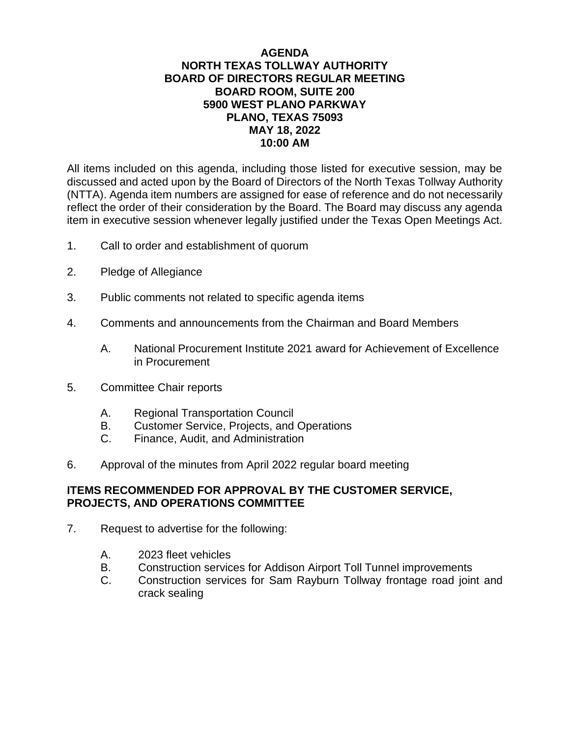## **AGENDA NORTH TEXAS TOLLWAY AUTHORITY BOARD OF DIRECTORS REGULAR MEETING BOARD ROOM, SUITE 200 5900 WEST PLANO PARKWAY PLANO, TEXAS 75093 MAY 18, 2022 10:00 AM**

All items included on this agenda, including those listed for executive session, may be discussed and acted upon by the Board of Directors of the North Texas Tollway Authority (NTTA). Agenda item numbers are assigned for ease of reference and do not necessarily reflect the order of their consideration by the Board. The Board may discuss any agenda item in executive session whenever legally justified under the Texas Open Meetings Act.

- 1. Call to order and establishment of quorum
- 2. Pledge of Allegiance
- 3. Public comments not related to specific agenda items
- 4. Comments and announcements from the Chairman and Board Members
	- A. National Procurement Institute 2021 award for Achievement of Excellence in Procurement
- 5. Committee Chair reports
	- A. Regional Transportation Council
	- B. Customer Service, Projects, and Operations
	- C. Finance, Audit, and Administration
- 6. Approval of the minutes from April 2022 regular board meeting

## **ITEMS RECOMMENDED FOR APPROVAL BY THE CUSTOMER SERVICE, PROJECTS, AND OPERATIONS COMMITTEE**

- 7. Request to advertise for the following:
	- A. 2023 fleet vehicles
	- B. Construction services for Addison Airport Toll Tunnel improvements
	- C. Construction services for Sam Rayburn Tollway frontage road joint and crack sealing